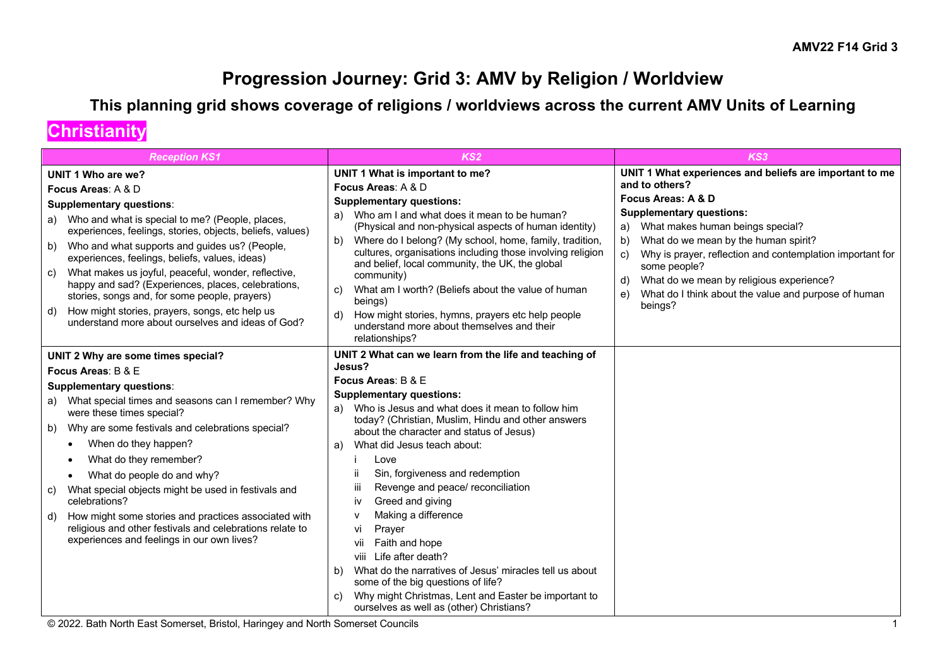### **Progression Journey: Grid 3: AMV by Religion / Worldview**

### **This planning grid shows coverage of religions / worldviews across the current AMV Units of Learning**

### **Christianity**

| <b>Reception KS1</b>                                                                                                                                              | KS <sub>2</sub>                                                                                                                                                                | KS3                                                                                                                           |
|-------------------------------------------------------------------------------------------------------------------------------------------------------------------|--------------------------------------------------------------------------------------------------------------------------------------------------------------------------------|-------------------------------------------------------------------------------------------------------------------------------|
| UNIT 1 Who are we?                                                                                                                                                | UNIT 1 What is important to me?                                                                                                                                                | UNIT 1 What experiences and beliefs are important to me                                                                       |
| Focus Areas: A & D                                                                                                                                                | Focus Areas: A & D                                                                                                                                                             | and to others?                                                                                                                |
| Supplementary questions:                                                                                                                                          | <b>Supplementary questions:</b>                                                                                                                                                | Focus Areas: A & D                                                                                                            |
| a) Who and what is special to me? (People, places,<br>experiences, feelings, stories, objects, beliefs, values)                                                   | a) Who am I and what does it mean to be human?<br>(Physical and non-physical aspects of human identity)                                                                        | <b>Supplementary questions:</b><br>a) What makes human beings special?                                                        |
| b) Who and what supports and guides us? (People,<br>experiences, feelings, beliefs, values, ideas)                                                                | Where do I belong? (My school, home, family, tradition,<br>b)<br>cultures, organisations including those involving religion<br>and belief, local community, the UK, the global | What do we mean by the human spirit?<br>b)<br>Why is prayer, reflection and contemplation important for<br>C)<br>some people? |
| What makes us joyful, peaceful, wonder, reflective,<br>C)<br>happy and sad? (Experiences, places, celebrations,<br>stories, songs and, for some people, prayers)  | community)<br>What am I worth? (Beliefs about the value of human<br>C)<br>beings)                                                                                              | What do we mean by religious experience?<br>d)<br>What do I think about the value and purpose of human<br>e)                  |
| d) How might stories, prayers, songs, etc help us<br>understand more about ourselves and ideas of God?                                                            | How might stories, hymns, prayers etc help people<br>understand more about themselves and their<br>relationships?                                                              | beings?                                                                                                                       |
| UNIT 2 Why are some times special?                                                                                                                                | UNIT 2 What can we learn from the life and teaching of                                                                                                                         |                                                                                                                               |
| Focus Areas: B & E                                                                                                                                                | Jesus?                                                                                                                                                                         |                                                                                                                               |
| <b>Supplementary questions:</b>                                                                                                                                   | Focus Areas: B & E                                                                                                                                                             |                                                                                                                               |
| a) What special times and seasons can I remember? Why<br>were these times special?                                                                                | <b>Supplementary questions:</b><br>Who is Jesus and what does it mean to follow him<br>a)                                                                                      |                                                                                                                               |
| b) Why are some festivals and celebrations special?                                                                                                               | today? (Christian, Muslim, Hindu and other answers<br>about the character and status of Jesus)                                                                                 |                                                                                                                               |
| When do they happen?                                                                                                                                              | What did Jesus teach about:<br>a)                                                                                                                                              |                                                                                                                               |
| What do they remember?                                                                                                                                            | Love                                                                                                                                                                           |                                                                                                                               |
| What do people do and why?<br>$\bullet$                                                                                                                           | Sin, forgiveness and redemption                                                                                                                                                |                                                                                                                               |
| What special objects might be used in festivals and<br>C)<br>celebrations?                                                                                        | iii<br>Revenge and peace/ reconciliation<br>Greed and giving<br>iv                                                                                                             |                                                                                                                               |
| d) How might some stories and practices associated with<br>religious and other festivals and celebrations relate to<br>experiences and feelings in our own lives? | Making a difference<br>$\mathsf{v}$<br>vi<br>Prayer<br>Faith and hope<br>vii<br>Life after death?<br>viii                                                                      |                                                                                                                               |
|                                                                                                                                                                   | What do the narratives of Jesus' miracles tell us about<br>b)<br>some of the big questions of life?                                                                            |                                                                                                                               |
|                                                                                                                                                                   | Why might Christmas, Lent and Easter be important to<br>C)<br>ourselves as well as (other) Christians?                                                                         |                                                                                                                               |

© 2022. Bath North East Somerset, Bristol, Haringey and North Somerset Councils 1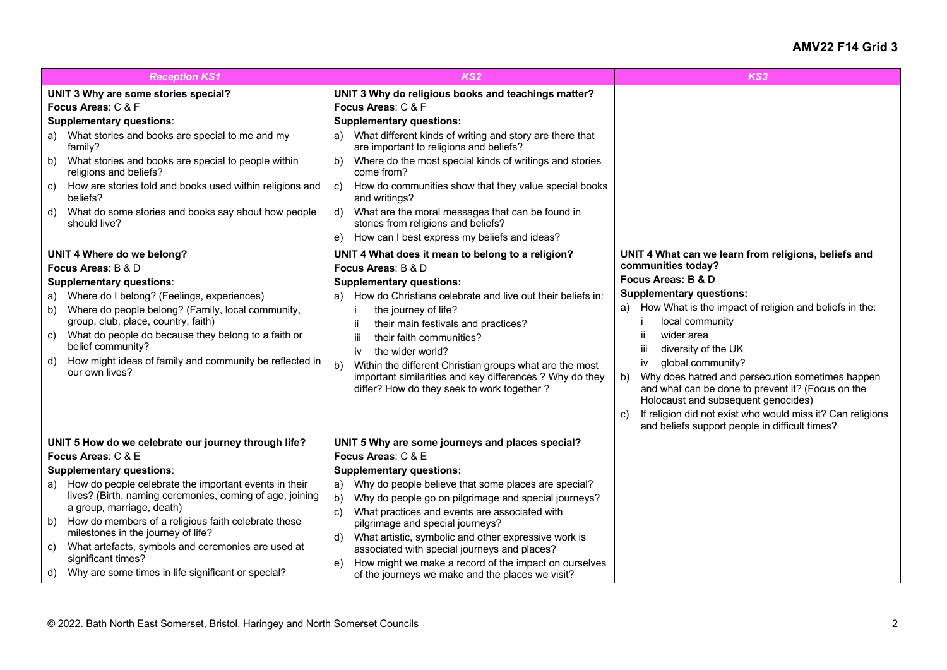| <b>Reception KS1</b>                                                                                                                                                                                                                                                                                                                                                                                                                                                                                          | KS <sub>2</sub>                                                                                                                                                                                                                                                                                                                                                                                                                                                                                                                                                            | KS3                                                                                                                                                                                                                                                                                                                                                                                                                                                                                                                                                                            |
|---------------------------------------------------------------------------------------------------------------------------------------------------------------------------------------------------------------------------------------------------------------------------------------------------------------------------------------------------------------------------------------------------------------------------------------------------------------------------------------------------------------|----------------------------------------------------------------------------------------------------------------------------------------------------------------------------------------------------------------------------------------------------------------------------------------------------------------------------------------------------------------------------------------------------------------------------------------------------------------------------------------------------------------------------------------------------------------------------|--------------------------------------------------------------------------------------------------------------------------------------------------------------------------------------------------------------------------------------------------------------------------------------------------------------------------------------------------------------------------------------------------------------------------------------------------------------------------------------------------------------------------------------------------------------------------------|
| UNIT 3 Why are some stories special?<br>Focus Areas: C & F<br><b>Supplementary questions:</b><br>a) What stories and books are special to me and my<br>family?<br>What stories and books are special to people within<br>b)<br>religions and beliefs?<br>How are stories told and books used within religions and<br>C)<br>beliefs?<br>What do some stories and books say about how people<br>d)<br>should live?                                                                                              | UNIT 3 Why do religious books and teachings matter?<br>Focus Areas: C & F<br><b>Supplementary questions:</b><br>What different kinds of writing and story are there that<br>a)<br>are important to religions and beliefs?<br>Where do the most special kinds of writings and stories<br>b)<br>come from?<br>How do communities show that they value special books<br>C)<br>and writings?<br>What are the moral messages that can be found in<br>d)<br>stories from religions and beliefs?<br>How can I best express my beliefs and ideas?<br>e)                            |                                                                                                                                                                                                                                                                                                                                                                                                                                                                                                                                                                                |
| UNIT 4 Where do we belong?<br>Focus Areas: B & D<br><b>Supplementary questions:</b><br>a) Where do I belong? (Feelings, experiences)<br>Where do people belong? (Family, local community,<br>b)<br>group, club, place, country, faith)<br>What do people do because they belong to a faith or<br>C)<br>belief community?<br>How might ideas of family and community be reflected in<br>d)<br>our own lives?                                                                                                   | UNIT 4 What does it mean to belong to a religion?<br>Focus Areas: B & D<br><b>Supplementary questions:</b><br>How do Christians celebrate and live out their beliefs in:<br>a)<br>the journey of life?<br>ii<br>their main festivals and practices?<br>iii<br>their faith communities?<br>the wider world?<br>iv<br>b)<br>Within the different Christian groups what are the most<br>important similarities and key differences ? Why do they<br>differ? How do they seek to work together?                                                                                | UNIT 4 What can we learn from religions, beliefs and<br>communities today?<br>Focus Areas: B & D<br><b>Supplementary questions:</b><br>a) How What is the impact of religion and beliefs in the:<br>local community<br>wider area<br>-ii<br>diversity of the UK<br>-iii<br>global community?<br>iv<br>Why does hatred and persecution sometimes happen<br>b)<br>and what can be done to prevent it? (Focus on the<br>Holocaust and subsequent genocides)<br>If religion did not exist who would miss it? Can religions<br>C)<br>and beliefs support people in difficult times? |
| UNIT 5 How do we celebrate our journey through life?<br>Focus Areas: C & E<br><b>Supplementary questions:</b><br>a) How do people celebrate the important events in their<br>lives? (Birth, naming ceremonies, coming of age, joining<br>a group, marriage, death)<br>b) How do members of a religious faith celebrate these<br>milestones in the journey of life?<br>What artefacts, symbols and ceremonies are used at<br>C)<br>significant times?<br>d) Why are some times in life significant or special? | UNIT 5 Why are some journeys and places special?<br>Focus Areas: C & E<br><b>Supplementary questions:</b><br>Why do people believe that some places are special?<br>a)<br>Why do people go on pilgrimage and special journeys?<br>b)<br>What practices and events are associated with<br>C)<br>pilgrimage and special journeys?<br>What artistic, symbolic and other expressive work is<br>$\mathsf{d}$<br>associated with special journeys and places?<br>How might we make a record of the impact on ourselves<br>e)<br>of the journeys we make and the places we visit? |                                                                                                                                                                                                                                                                                                                                                                                                                                                                                                                                                                                |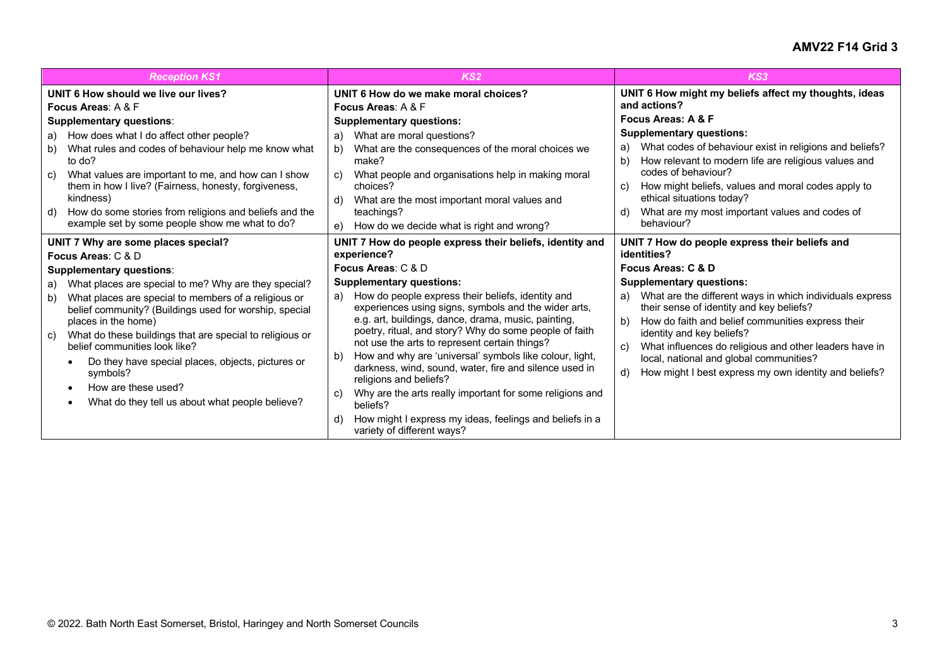| <b>Reception KS1</b>                                                                                                                                                                                                                                                                                                                                                                                      | KS <sub>2</sub>                                                                                                                                                                                                                                                                                                                                                                                                       | KS3                                                                                                                                                                                                                                                                                                                                                                                          |
|-----------------------------------------------------------------------------------------------------------------------------------------------------------------------------------------------------------------------------------------------------------------------------------------------------------------------------------------------------------------------------------------------------------|-----------------------------------------------------------------------------------------------------------------------------------------------------------------------------------------------------------------------------------------------------------------------------------------------------------------------------------------------------------------------------------------------------------------------|----------------------------------------------------------------------------------------------------------------------------------------------------------------------------------------------------------------------------------------------------------------------------------------------------------------------------------------------------------------------------------------------|
| UNIT 6 How should we live our lives?<br><b>Focus Areas: A &amp; F</b>                                                                                                                                                                                                                                                                                                                                     | UNIT 6 How do we make moral choices?<br>Focus Areas: A & F                                                                                                                                                                                                                                                                                                                                                            | UNIT 6 How might my beliefs affect my thoughts, ideas<br>and actions?                                                                                                                                                                                                                                                                                                                        |
| <b>Supplementary questions:</b>                                                                                                                                                                                                                                                                                                                                                                           | <b>Supplementary questions:</b>                                                                                                                                                                                                                                                                                                                                                                                       | Focus Areas: A & F                                                                                                                                                                                                                                                                                                                                                                           |
| a) How does what I do affect other people?<br>What rules and codes of behaviour help me know what<br>b)<br>to do?<br>What values are important to me, and how can I show<br>C)<br>them in how I live? (Fairness, honesty, forgiveness,<br>kindness)<br>How do some stories from religions and beliefs and the<br>d)<br>example set by some people show me what to do?                                     | What are moral questions?<br>a)<br>What are the consequences of the moral choices we<br>b)<br>make?<br>What people and organisations help in making moral<br>C)<br>choices?<br>What are the most important moral values and<br>d)<br>teachings?<br>How do we decide what is right and wrong?<br>e)                                                                                                                    | <b>Supplementary questions:</b><br>What codes of behaviour exist in religions and beliefs?<br>a)<br>How relevant to modern life are religious values and<br>b)<br>codes of behaviour?<br>How might beliefs, values and moral codes apply to<br>C)<br>ethical situations today?<br>What are my most important values and codes of<br>d)<br>behaviour?                                         |
| UNIT 7 Why are some places special?<br>Focus Areas: C & D<br><b>Supplementary questions:</b><br>a) What places are special to me? Why are they special?<br>What places are special to members of a religious or<br>b)<br>belief community? (Buildings used for worship, special<br>places in the home)<br>What do these buildings that are special to religious or<br>C)<br>belief communities look like? | UNIT 7 How do people express their beliefs, identity and<br>experience?<br>Focus Areas: C & D<br><b>Supplementary questions:</b><br>How do people express their beliefs, identity and<br>a)<br>experiences using signs, symbols and the wider arts,<br>e.g. art, buildings, dance, drama, music, painting,<br>poetry, ritual, and story? Why do some people of faith<br>not use the arts to represent certain things? | UNIT 7 How do people express their beliefs and<br>identities?<br>Focus Areas: C & D<br><b>Supplementary questions:</b><br>What are the different ways in which individuals express<br>a)<br>their sense of identity and key beliefs?<br>b)<br>How do faith and belief communities express their<br>identity and key beliefs?<br>What influences do religious and other leaders have in<br>C) |
| Do they have special places, objects, pictures or<br>symbols?<br>How are these used?<br>What do they tell us about what people believe?                                                                                                                                                                                                                                                                   | How and why are 'universal' symbols like colour, light,<br>b)<br>darkness, wind, sound, water, fire and silence used in<br>religions and beliefs?<br>Why are the arts really important for some religions and<br>C)<br>beliefs?<br>How might I express my ideas, feelings and beliefs in a<br>d)<br>variety of different ways?                                                                                        | local, national and global communities?<br>How might I best express my own identity and beliefs?<br>d)                                                                                                                                                                                                                                                                                       |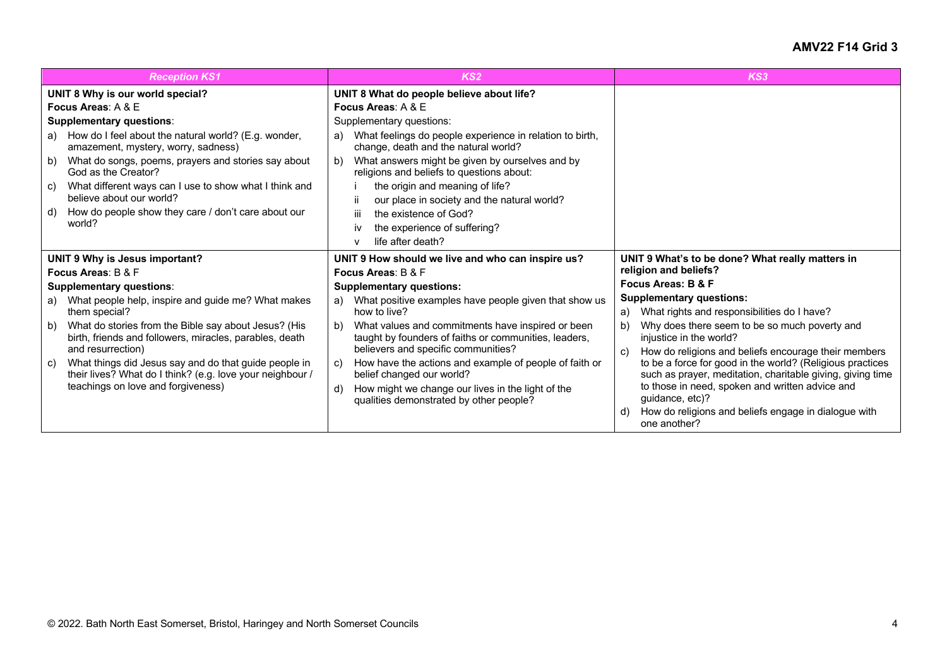| <b>Reception KS1</b>                                                                                                                                                                | KS <sub>2</sub>                                                                                                                                                                                                                        | KS3                                                                                                                                                                                                                                                         |
|-------------------------------------------------------------------------------------------------------------------------------------------------------------------------------------|----------------------------------------------------------------------------------------------------------------------------------------------------------------------------------------------------------------------------------------|-------------------------------------------------------------------------------------------------------------------------------------------------------------------------------------------------------------------------------------------------------------|
| UNIT 8 Why is our world special?<br>Focus Areas: $A & E$                                                                                                                            | UNIT 8 What do people believe about life?<br>Focus Areas: A & E                                                                                                                                                                        |                                                                                                                                                                                                                                                             |
| <b>Supplementary questions:</b>                                                                                                                                                     | Supplementary questions:                                                                                                                                                                                                               |                                                                                                                                                                                                                                                             |
| a) How do I feel about the natural world? (E.g. wonder,<br>amazement, mystery, worry, sadness)                                                                                      | What feelings do people experience in relation to birth,<br>a)<br>change, death and the natural world?                                                                                                                                 |                                                                                                                                                                                                                                                             |
| What do songs, poems, prayers and stories say about<br>b)<br>God as the Creator?                                                                                                    | What answers might be given by ourselves and by<br>b)<br>religions and beliefs to questions about:                                                                                                                                     |                                                                                                                                                                                                                                                             |
| What different ways can I use to show what I think and<br>C)<br>believe about our world?                                                                                            | the origin and meaning of life?<br>our place in society and the natural world?<br>ÎĹ.                                                                                                                                                  |                                                                                                                                                                                                                                                             |
| How do people show they care / don't care about our<br>d)<br>world?                                                                                                                 | iii.<br>the existence of God?<br>the experience of suffering?<br>IV<br>life after death?<br>$\mathbf v$                                                                                                                                |                                                                                                                                                                                                                                                             |
| UNIT 9 Why is Jesus important?                                                                                                                                                      | UNIT 9 How should we live and who can inspire us?                                                                                                                                                                                      | UNIT 9 What's to be done? What really matters in                                                                                                                                                                                                            |
| Focus Areas: B & F                                                                                                                                                                  | Focus Areas: B & F                                                                                                                                                                                                                     | religion and beliefs?                                                                                                                                                                                                                                       |
| <b>Supplementary questions:</b>                                                                                                                                                     | <b>Supplementary questions:</b>                                                                                                                                                                                                        | Focus Areas: B & F                                                                                                                                                                                                                                          |
| What people help, inspire and guide me? What makes<br>a)<br>them special?                                                                                                           | What positive examples have people given that show us<br>a)<br>how to live?                                                                                                                                                            | <b>Supplementary questions:</b>                                                                                                                                                                                                                             |
| What do stories from the Bible say about Jesus? (His<br>b)<br>birth, friends and followers, miracles, parables, death                                                               | What values and commitments have inspired or been<br>b)<br>taught by founders of faiths or communities, leaders,                                                                                                                       | What rights and responsibilities do I have?<br>a)<br>Why does there seem to be so much poverty and<br>b)<br>injustice in the world?                                                                                                                         |
| and resurrection)<br>What things did Jesus say and do that guide people in<br>C)<br>their lives? What do I think? (e.g. love your neighbour /<br>teachings on love and forgiveness) | believers and specific communities?<br>How have the actions and example of people of faith or<br>C)<br>belief changed our world?<br>How might we change our lives in the light of the<br>d)<br>qualities demonstrated by other people? | How do religions and beliefs encourage their members<br>C)<br>to be a force for good in the world? (Religious practices<br>such as prayer, meditation, charitable giving, giving time<br>to those in need, spoken and written advice and<br>quidance, etc)? |
|                                                                                                                                                                                     |                                                                                                                                                                                                                                        | How do religions and beliefs engage in dialogue with<br>d)<br>one another?                                                                                                                                                                                  |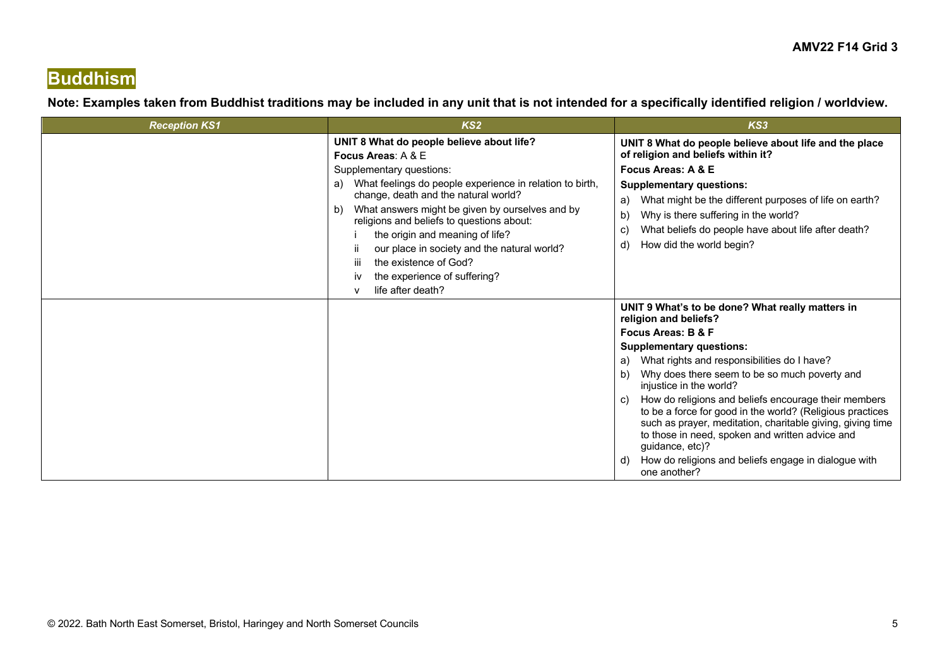### **Buddhism**

#### **Note: Examples taken from Buddhist traditions may be included in any unit that is not intended for a specifically identified religion / worldview.**

| <b>Reception KS1</b> | KS <sub>2</sub>                                                                                                                                                                                                                                                                                                                                                                                                                                                                                                         | KS3                                                                                                                                                                                                                                                                                                                                                                                                                                                                                                                                                                                                                    |
|----------------------|-------------------------------------------------------------------------------------------------------------------------------------------------------------------------------------------------------------------------------------------------------------------------------------------------------------------------------------------------------------------------------------------------------------------------------------------------------------------------------------------------------------------------|------------------------------------------------------------------------------------------------------------------------------------------------------------------------------------------------------------------------------------------------------------------------------------------------------------------------------------------------------------------------------------------------------------------------------------------------------------------------------------------------------------------------------------------------------------------------------------------------------------------------|
|                      | UNIT 8 What do people believe about life?<br>Focus Areas: A & E<br>Supplementary questions:<br>What feelings do people experience in relation to birth,<br>a)<br>change, death and the natural world?<br>What answers might be given by ourselves and by<br>b)<br>religions and beliefs to questions about:<br>the origin and meaning of life?<br>our place in society and the natural world?<br>Ϊİ<br>the existence of God?<br>$\mathbf{m}$<br>the experience of suffering?<br>IV<br>life after death?<br>$\mathsf{v}$ | UNIT 8 What do people believe about life and the place<br>of religion and beliefs within it?<br>Focus Areas: A & E<br><b>Supplementary questions:</b><br>What might be the different purposes of life on earth?<br>a)<br>Why is there suffering in the world?<br>b)<br>What beliefs do people have about life after death?<br>C)<br>How did the world begin?<br>d)                                                                                                                                                                                                                                                     |
|                      |                                                                                                                                                                                                                                                                                                                                                                                                                                                                                                                         | UNIT 9 What's to be done? What really matters in<br>religion and beliefs?<br>Focus Areas: B & F<br><b>Supplementary questions:</b><br>What rights and responsibilities do I have?<br>a)<br>Why does there seem to be so much poverty and<br>b)<br>injustice in the world?<br>How do religions and beliefs encourage their members<br>C)<br>to be a force for good in the world? (Religious practices<br>such as prayer, meditation, charitable giving, giving time<br>to those in need, spoken and written advice and<br>guidance, etc)?<br>How do religions and beliefs engage in dialogue with<br>d)<br>one another? |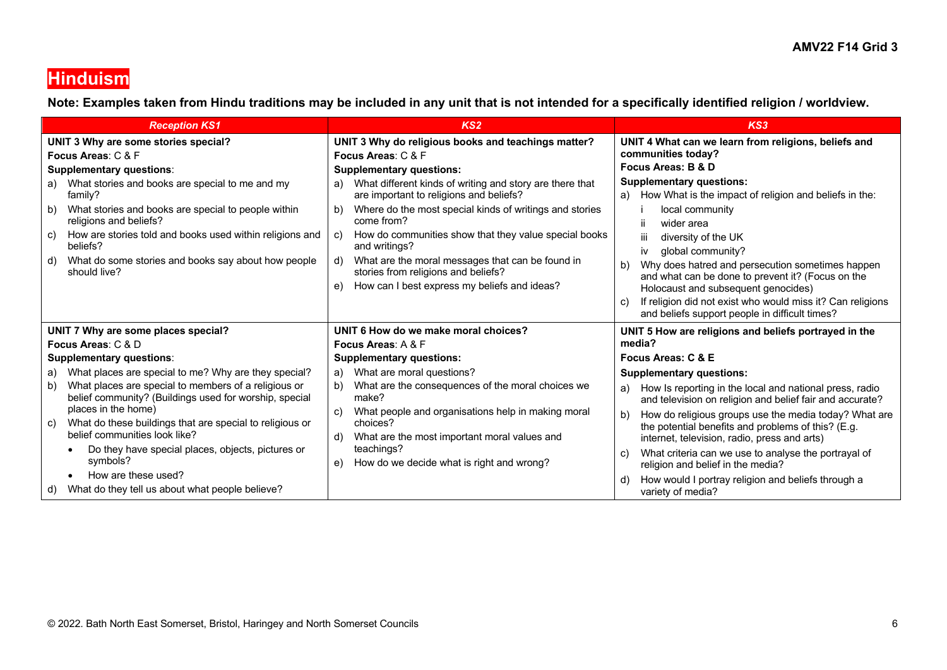### **Hinduism**

**Note: Examples taken from Hindu traditions may be included in any unit that is not intended for a specifically identified religion / worldview.**

| <b>Reception KS1</b>                                                                                                                                                                                                                                      | KS <sub>2</sub>                                                                                                                                                                                                                                                                                                                                               | KS3                                                                                                                                                                                                                                                                                                                                                                                     |
|-----------------------------------------------------------------------------------------------------------------------------------------------------------------------------------------------------------------------------------------------------------|---------------------------------------------------------------------------------------------------------------------------------------------------------------------------------------------------------------------------------------------------------------------------------------------------------------------------------------------------------------|-----------------------------------------------------------------------------------------------------------------------------------------------------------------------------------------------------------------------------------------------------------------------------------------------------------------------------------------------------------------------------------------|
| UNIT 3 Why are some stories special?<br>Focus Areas: C & F<br><b>Supplementary questions:</b><br>a) What stories and books are special to me and my                                                                                                       | UNIT 3 Why do religious books and teachings matter?<br>Focus Areas: C & F<br><b>Supplementary questions:</b><br>What different kinds of writing and story are there that<br>a)                                                                                                                                                                                | UNIT 4 What can we learn from religions, beliefs and<br>communities today?<br>Focus Areas: B & D<br><b>Supplementary questions:</b>                                                                                                                                                                                                                                                     |
| family?<br>What stories and books are special to people within<br>b)<br>religions and beliefs?<br>How are stories told and books used within religions and<br>C)<br>beliefs?<br>What do some stories and books say about how people<br>d)<br>should live? | are important to religions and beliefs?<br>Where do the most special kinds of writings and stories<br>b)<br>come from?<br>How do communities show that they value special books<br>C)<br>and writings?<br>What are the moral messages that can be found in<br>d)<br>stories from religions and beliefs?<br>How can I best express my beliefs and ideas?<br>e) | How What is the impact of religion and beliefs in the:<br>a)<br>local community<br>wider area<br>ii.<br>diversity of the UK<br>iii<br>global community?<br>iv<br>Why does hatred and persecution sometimes happen<br>b)<br>and what can be done to prevent it? (Focus on the<br>Holocaust and subsequent genocides)<br>If religion did not exist who would miss it? Can religions<br>C) |
| UNIT 7 Why are some places special?<br>Focus Areas: C & D                                                                                                                                                                                                 | UNIT 6 How do we make moral choices?<br><b>Focus Areas: A &amp; F</b>                                                                                                                                                                                                                                                                                         | and beliefs support people in difficult times?<br>UNIT 5 How are religions and beliefs portrayed in the<br>media?                                                                                                                                                                                                                                                                       |
| <b>Supplementary questions:</b>                                                                                                                                                                                                                           | <b>Supplementary questions:</b>                                                                                                                                                                                                                                                                                                                               | Focus Areas: C & E                                                                                                                                                                                                                                                                                                                                                                      |
| What places are special to me? Why are they special?<br>a)                                                                                                                                                                                                | What are moral questions?<br>a)                                                                                                                                                                                                                                                                                                                               | <b>Supplementary questions:</b>                                                                                                                                                                                                                                                                                                                                                         |
| What places are special to members of a religious or<br>b)<br>belief community? (Buildings used for worship, special<br>places in the home)<br>What do these buildings that are special to religious or<br>C)<br>belief communities look like?            | What are the consequences of the moral choices we<br>b)<br>make?<br>What people and organisations help in making moral<br>C)<br>choices?<br>What are the most important moral values and<br>d)                                                                                                                                                                | How Is reporting in the local and national press, radio<br>a)<br>and television on religion and belief fair and accurate?<br>How do religious groups use the media today? What are<br>b)<br>the potential benefits and problems of this? (E.g.<br>internet, television, radio, press and arts)                                                                                          |
| Do they have special places, objects, pictures or<br>symbols?<br>How are these used?<br>$\bullet$                                                                                                                                                         | teachings?<br>How do we decide what is right and wrong?<br>e)                                                                                                                                                                                                                                                                                                 | What criteria can we use to analyse the portrayal of<br>C)<br>religion and belief in the media?<br>How would I portray religion and beliefs through a<br>d                                                                                                                                                                                                                              |
| What do they tell us about what people believe?<br>d)                                                                                                                                                                                                     |                                                                                                                                                                                                                                                                                                                                                               | variety of media?                                                                                                                                                                                                                                                                                                                                                                       |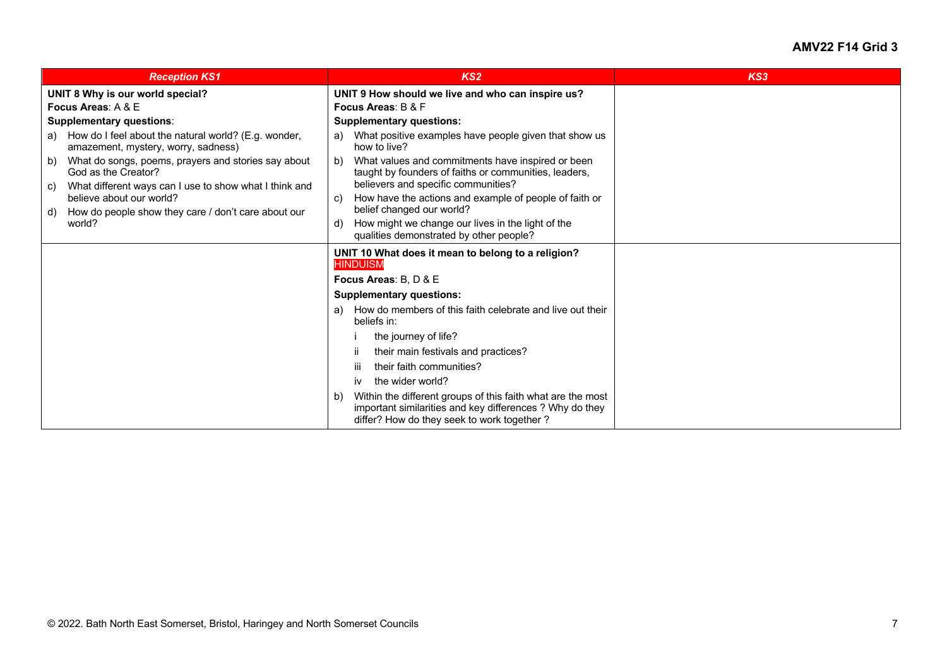| <b>Reception KS1</b>                                                                                                                                  | KS <sub>2</sub>                                                                                                                                                             | KS3 |
|-------------------------------------------------------------------------------------------------------------------------------------------------------|-----------------------------------------------------------------------------------------------------------------------------------------------------------------------------|-----|
| UNIT 8 Why is our world special?<br>Focus Areas: A & E                                                                                                | UNIT 9 How should we live and who can inspire us?<br>Focus Areas: B & F                                                                                                     |     |
| <b>Supplementary questions:</b>                                                                                                                       | <b>Supplementary questions:</b>                                                                                                                                             |     |
| a) How do I feel about the natural world? (E.g. wonder,<br>amazement, mystery, worry, sadness)                                                        | What positive examples have people given that show us<br>a)<br>how to live?                                                                                                 |     |
| What do songs, poems, prayers and stories say about<br>b)<br>God as the Creator?                                                                      | What values and commitments have inspired or been<br>b)<br>taught by founders of faiths or communities, leaders,                                                            |     |
| What different ways can I use to show what I think and<br>C)<br>believe about our world?<br>How do people show they care / don't care about our<br>d) | believers and specific communities?<br>How have the actions and example of people of faith or<br>C)<br>belief changed our world?                                            |     |
| world?                                                                                                                                                | How might we change our lives in the light of the<br>d)<br>qualities demonstrated by other people?                                                                          |     |
|                                                                                                                                                       | UNIT 10 What does it mean to belong to a religion?<br><b>HINDUISM</b>                                                                                                       |     |
|                                                                                                                                                       | Focus Areas: B. D & E                                                                                                                                                       |     |
|                                                                                                                                                       | <b>Supplementary questions:</b>                                                                                                                                             |     |
|                                                                                                                                                       | How do members of this faith celebrate and live out their<br>a)<br>beliefs in:                                                                                              |     |
|                                                                                                                                                       | the journey of life?                                                                                                                                                        |     |
|                                                                                                                                                       | their main festivals and practices?<br>Ϊİ.                                                                                                                                  |     |
|                                                                                                                                                       | their faith communities?<br>-iii                                                                                                                                            |     |
|                                                                                                                                                       | the wider world?<br><b>iv</b>                                                                                                                                               |     |
|                                                                                                                                                       | Within the different groups of this faith what are the most<br>b)<br>important similarities and key differences ? Why do they<br>differ? How do they seek to work together? |     |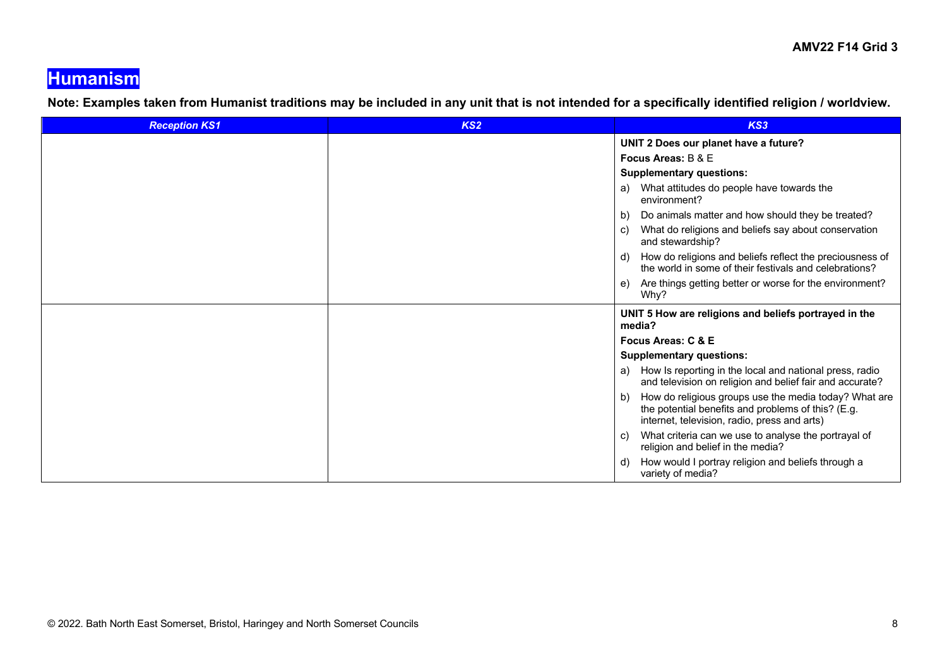## **Humanism**

**Note: Examples taken from Humanist traditions may be included in any unit that is not intended for a specifically identified religion / worldview.**

| <b>Reception KS1</b> | KS <sub>2</sub> | KS3                                                                                                                                                               |
|----------------------|-----------------|-------------------------------------------------------------------------------------------------------------------------------------------------------------------|
|                      |                 | UNIT 2 Does our planet have a future?                                                                                                                             |
|                      |                 | Focus Areas: B & E                                                                                                                                                |
|                      |                 | <b>Supplementary questions:</b>                                                                                                                                   |
|                      |                 | What attitudes do people have towards the<br>a)<br>environment?                                                                                                   |
|                      |                 | Do animals matter and how should they be treated?<br>b)                                                                                                           |
|                      |                 | What do religions and beliefs say about conservation<br>C)<br>and stewardship?                                                                                    |
|                      |                 | How do religions and beliefs reflect the preciousness of<br>d)<br>the world in some of their festivals and celebrations?                                          |
|                      |                 | Are things getting better or worse for the environment?<br>e)<br>Why?                                                                                             |
|                      |                 | UNIT 5 How are religions and beliefs portrayed in the<br>media?                                                                                                   |
|                      |                 | Focus Areas: C & E                                                                                                                                                |
|                      |                 | <b>Supplementary questions:</b>                                                                                                                                   |
|                      |                 | How Is reporting in the local and national press, radio<br>a)<br>and television on religion and belief fair and accurate?                                         |
|                      |                 | How do religious groups use the media today? What are<br>b)<br>the potential benefits and problems of this? (E.g.<br>internet, television, radio, press and arts) |
|                      |                 | What criteria can we use to analyse the portrayal of<br>C)<br>religion and belief in the media?                                                                   |
|                      |                 | How would I portray religion and beliefs through a<br>d)<br>variety of media?                                                                                     |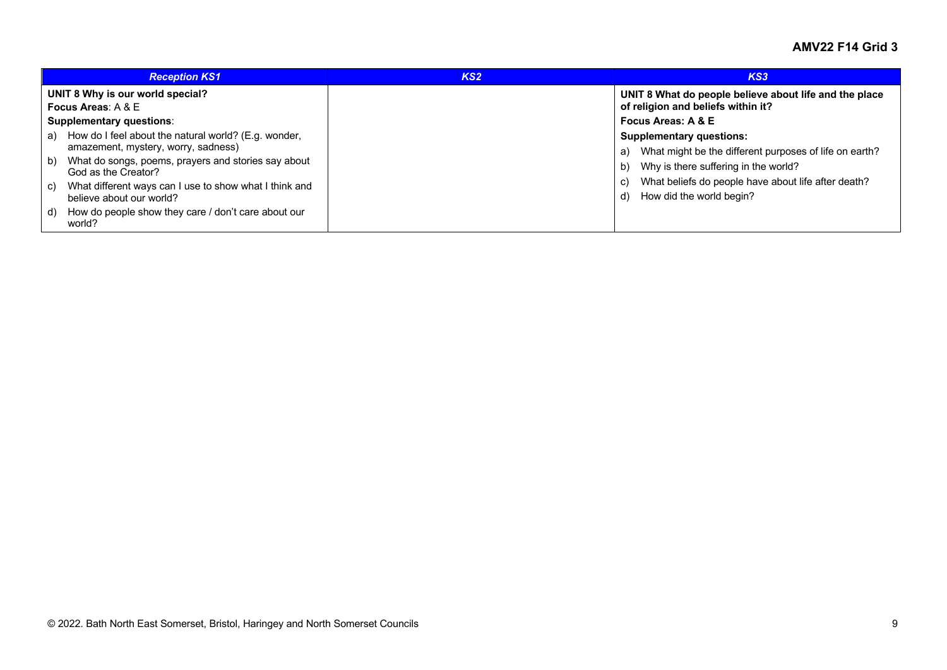|    | <b>Reception KS1</b>                                                                        | KS <sub>2</sub> | KS3                                                                                             |
|----|---------------------------------------------------------------------------------------------|-----------------|-------------------------------------------------------------------------------------------------|
|    | UNIT 8 Why is our world special?<br>Focus Areas: $A & E$                                    |                 | UNIT 8 What do people believe about life and the place<br>of religion and beliefs within it?    |
|    | <b>Supplementary questions:</b>                                                             |                 | Focus Areas: A & E                                                                              |
| a) | How do I feel about the natural world? (E.g. wonder,<br>amazement, mystery, worry, sadness) |                 | <b>Supplementary questions:</b><br>What might be the different purposes of life on earth?<br>a) |
| b) | What do songs, poems, prayers and stories say about<br>God as the Creator?                  |                 | Why is there suffering in the world?<br>b)                                                      |
| C) | What different ways can I use to show what I think and<br>believe about our world?          |                 | What beliefs do people have about life after death?<br>C)<br>How did the world begin?<br>d)     |
| d) | How do people show they care / don't care about our<br>world?                               |                 |                                                                                                 |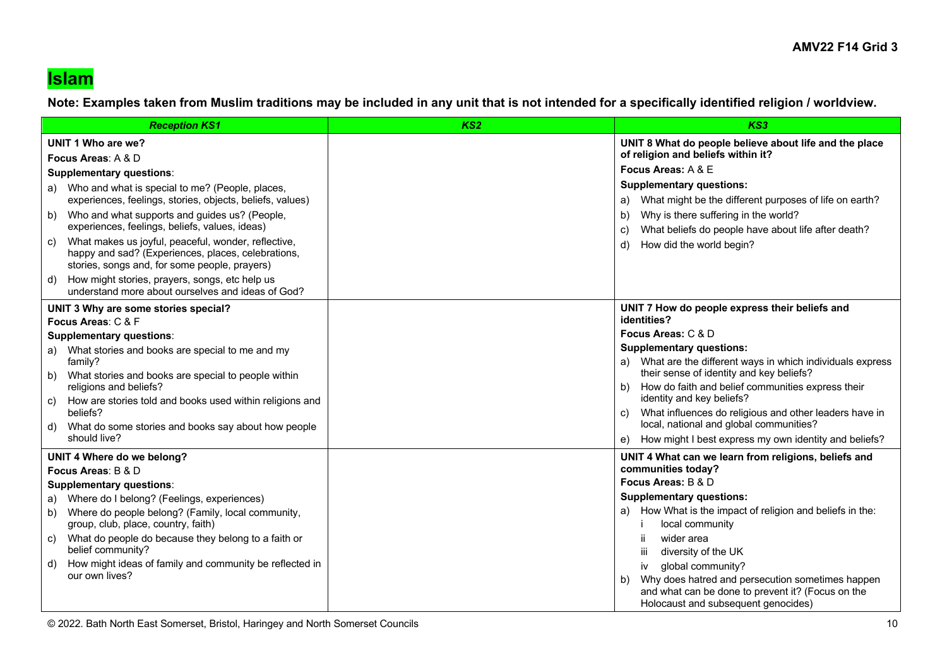### **Islam**

**Note: Examples taken from Muslim traditions may be included in any unit that is not intended for a specifically identified religion / worldview.**

| <b>Reception KS1</b>                                                                                                                                                                                                                                                                                                                                                                                                                                                                                                                                                                     | KS <sub>2</sub> | KS3                                                                                                                                                                                                                                                                                                                                                                                                                                                                                                 |
|------------------------------------------------------------------------------------------------------------------------------------------------------------------------------------------------------------------------------------------------------------------------------------------------------------------------------------------------------------------------------------------------------------------------------------------------------------------------------------------------------------------------------------------------------------------------------------------|-----------------|-----------------------------------------------------------------------------------------------------------------------------------------------------------------------------------------------------------------------------------------------------------------------------------------------------------------------------------------------------------------------------------------------------------------------------------------------------------------------------------------------------|
| UNIT 1 Who are we?<br>Focus Areas: A & D<br><b>Supplementary questions:</b><br>a) Who and what is special to me? (People, places,<br>experiences, feelings, stories, objects, beliefs, values)<br>Who and what supports and guides us? (People,<br>b)<br>experiences, feelings, beliefs, values, ideas)<br>What makes us joyful, peaceful, wonder, reflective,<br>C)<br>happy and sad? (Experiences, places, celebrations,<br>stories, songs and, for some people, prayers)<br>How might stories, prayers, songs, etc help us<br>d)<br>understand more about ourselves and ideas of God? |                 | UNIT 8 What do people believe about life and the place<br>of religion and beliefs within it?<br>Focus Areas: A & E<br><b>Supplementary questions:</b><br>What might be the different purposes of life on earth?<br>a)<br>Why is there suffering in the world?<br>b)<br>What beliefs do people have about life after death?<br>C)<br>How did the world begin?<br>d)                                                                                                                                  |
| UNIT 3 Why are some stories special?<br>Focus Areas: C & F<br><b>Supplementary questions:</b><br>a) What stories and books are special to me and my<br>family?<br>b) What stories and books are special to people within<br>religions and beliefs?<br>How are stories told and books used within religions and<br>C)<br>beliefs?<br>What do some stories and books say about how people<br>d)<br>should live?                                                                                                                                                                            |                 | UNIT 7 How do people express their beliefs and<br>identities?<br>Focus Areas: C & D<br><b>Supplementary questions:</b><br>a) What are the different ways in which individuals express<br>their sense of identity and key beliefs?<br>How do faith and belief communities express their<br>b)<br>identity and key beliefs?<br>What influences do religious and other leaders have in<br>C)<br>local, national and global communities?<br>How might I best express my own identity and beliefs?<br>e) |
| UNIT 4 Where do we belong?<br>Focus Areas: B & D<br><b>Supplementary questions:</b><br>a) Where do I belong? (Feelings, experiences)<br>Where do people belong? (Family, local community,<br>b)<br>group, club, place, country, faith)<br>What do people do because they belong to a faith or<br>C)<br>belief community?<br>How might ideas of family and community be reflected in<br>d)<br>our own lives?                                                                                                                                                                              |                 | UNIT 4 What can we learn from religions, beliefs and<br>communities today?<br>Focus Areas: B & D<br><b>Supplementary questions:</b><br>a) How What is the impact of religion and beliefs in the:<br>local community<br>wider area<br>Ш<br>diversity of the UK<br>ΪİΙ<br>global community?<br>iv<br>Why does hatred and persecution sometimes happen<br>b)<br>and what can be done to prevent it? (Focus on the<br>Holocaust and subsequent genocides)                                               |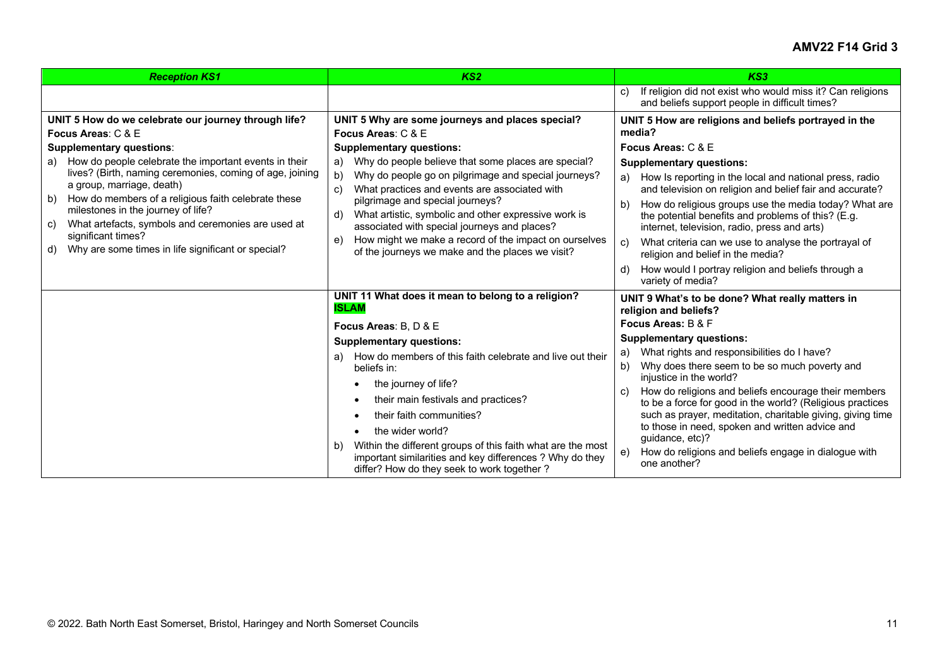| <b>Reception KS1</b>                                                                                                                                                                                                                                                                                                                                                                                                                                                                                                   | KS <sub>2</sub>                                                                                                                                                                                                                                                                                                                                                                                                                                                                                              | KS3                                                                                                                                                                                                                                                                                                                                                                                                                                                                                                                                       |
|------------------------------------------------------------------------------------------------------------------------------------------------------------------------------------------------------------------------------------------------------------------------------------------------------------------------------------------------------------------------------------------------------------------------------------------------------------------------------------------------------------------------|--------------------------------------------------------------------------------------------------------------------------------------------------------------------------------------------------------------------------------------------------------------------------------------------------------------------------------------------------------------------------------------------------------------------------------------------------------------------------------------------------------------|-------------------------------------------------------------------------------------------------------------------------------------------------------------------------------------------------------------------------------------------------------------------------------------------------------------------------------------------------------------------------------------------------------------------------------------------------------------------------------------------------------------------------------------------|
|                                                                                                                                                                                                                                                                                                                                                                                                                                                                                                                        |                                                                                                                                                                                                                                                                                                                                                                                                                                                                                                              | If religion did not exist who would miss it? Can religions<br>C)<br>and beliefs support people in difficult times?                                                                                                                                                                                                                                                                                                                                                                                                                        |
| UNIT 5 How do we celebrate our journey through life?<br>Focus Areas: C & E<br><b>Supplementary questions:</b><br>How do people celebrate the important events in their<br>a)<br>lives? (Birth, naming ceremonies, coming of age, joining<br>a group, marriage, death)<br>How do members of a religious faith celebrate these<br>b)<br>milestones in the journey of life?<br>What artefacts, symbols and ceremonies are used at<br>C)<br>significant times?<br>Why are some times in life significant or special?<br>d) | UNIT 5 Why are some journeys and places special?<br>Focus Areas: C & E<br><b>Supplementary questions:</b><br>Why do people believe that some places are special?<br>a)<br>Why do people go on pilgrimage and special journeys?<br>b)<br>What practices and events are associated with<br>C)<br>pilgrimage and special journeys?<br>What artistic, symbolic and other expressive work is<br>d)<br>associated with special journeys and places?<br>How might we make a record of the impact on ourselves<br>e) | UNIT 5 How are religions and beliefs portrayed in the<br>media?<br>Focus Areas: C & E<br><b>Supplementary questions:</b><br>a) How Is reporting in the local and national press, radio<br>and television on religion and belief fair and accurate?<br>How do religious groups use the media today? What are<br>b)<br>the potential benefits and problems of this? (E.g.<br>internet, television, radio, press and arts)<br>What criteria can we use to analyse the portrayal of<br>C)                                                     |
|                                                                                                                                                                                                                                                                                                                                                                                                                                                                                                                        | of the journeys we make and the places we visit?                                                                                                                                                                                                                                                                                                                                                                                                                                                             | religion and belief in the media?<br>How would I portray religion and beliefs through a<br>d)<br>variety of media?                                                                                                                                                                                                                                                                                                                                                                                                                        |
|                                                                                                                                                                                                                                                                                                                                                                                                                                                                                                                        | UNIT 11 What does it mean to belong to a religion?<br><b>ISLAM</b>                                                                                                                                                                                                                                                                                                                                                                                                                                           | UNIT 9 What's to be done? What really matters in<br>religion and beliefs?                                                                                                                                                                                                                                                                                                                                                                                                                                                                 |
|                                                                                                                                                                                                                                                                                                                                                                                                                                                                                                                        | Focus Areas: B, D & E<br><b>Supplementary questions:</b><br>How do members of this faith celebrate and live out their<br>a)<br>beliefs in:<br>the journey of life?<br>their main festivals and practices?<br>their faith communities?<br>the wider world?<br>Within the different groups of this faith what are the most<br>b)<br>important similarities and key differences ? Why do they<br>differ? How do they seek to work together?                                                                     | Focus Areas: B & F<br><b>Supplementary questions:</b><br>What rights and responsibilities do I have?<br>a)<br>Why does there seem to be so much poverty and<br>b)<br>injustice in the world?<br>How do religions and beliefs encourage their members<br>C)<br>to be a force for good in the world? (Religious practices<br>such as prayer, meditation, charitable giving, giving time<br>to those in need, spoken and written advice and<br>guidance, etc)?<br>How do religions and beliefs engage in dialogue with<br>e)<br>one another? |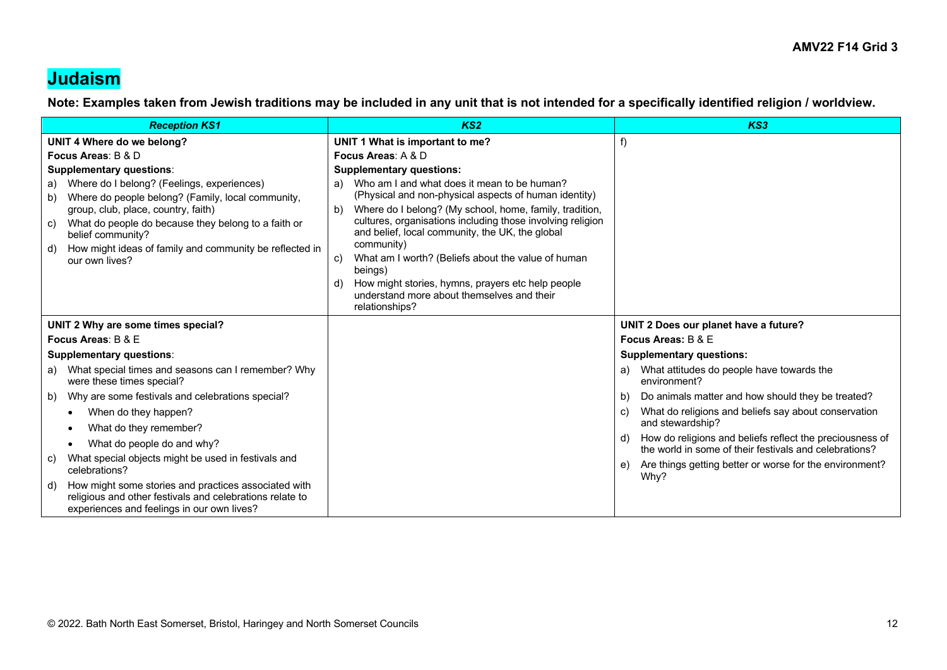### **Judaism**

**Note: Examples taken from Jewish traditions may be included in any unit that is not intended for a specifically identified religion / worldview.**

| <b>Reception KS1</b>                                                                                                                                                 | KS <sub>2</sub>                                                                                                         | KS3                                                                                                                      |
|----------------------------------------------------------------------------------------------------------------------------------------------------------------------|-------------------------------------------------------------------------------------------------------------------------|--------------------------------------------------------------------------------------------------------------------------|
| UNIT 4 Where do we belong?                                                                                                                                           | UNIT 1 What is important to me?                                                                                         | f)                                                                                                                       |
| Focus Areas: B & D                                                                                                                                                   | Focus Areas: A & D                                                                                                      |                                                                                                                          |
| <b>Supplementary questions:</b>                                                                                                                                      | <b>Supplementary questions:</b>                                                                                         |                                                                                                                          |
| Where do I belong? (Feelings, experiences)<br>a)<br>Where do people belong? (Family, local community,<br>b)                                                          | a) Who am I and what does it mean to be human?<br>(Physical and non-physical aspects of human identity)                 |                                                                                                                          |
| group, club, place, country, faith)                                                                                                                                  | Where do I belong? (My school, home, family, tradition,<br>b)                                                           |                                                                                                                          |
| What do people do because they belong to a faith or<br>C)<br>belief community?                                                                                       | cultures, organisations including those involving religion<br>and belief, local community, the UK, the global           |                                                                                                                          |
| How might ideas of family and community be reflected in<br>d)                                                                                                        | community)                                                                                                              |                                                                                                                          |
| our own lives?                                                                                                                                                       | What am I worth? (Beliefs about the value of human<br>C)<br>beings)                                                     |                                                                                                                          |
|                                                                                                                                                                      | How might stories, hymns, prayers etc help people<br>d)<br>understand more about themselves and their<br>relationships? |                                                                                                                          |
| UNIT 2 Why are some times special?                                                                                                                                   |                                                                                                                         | UNIT 2 Does our planet have a future?                                                                                    |
| Focus Areas: B & E                                                                                                                                                   |                                                                                                                         | Focus Areas: B & E                                                                                                       |
| <b>Supplementary questions:</b>                                                                                                                                      |                                                                                                                         | <b>Supplementary questions:</b>                                                                                          |
| What special times and seasons can I remember? Why<br>a)<br>were these times special?                                                                                |                                                                                                                         | What attitudes do people have towards the<br>a)<br>environment?                                                          |
| Why are some festivals and celebrations special?<br>b)                                                                                                               |                                                                                                                         | Do animals matter and how should they be treated?<br>b)                                                                  |
| When do they happen?<br>$\bullet$                                                                                                                                    |                                                                                                                         | What do religions and beliefs say about conservation<br>C)                                                               |
| What do they remember?<br>$\bullet$                                                                                                                                  |                                                                                                                         | and stewardship?                                                                                                         |
| What do people do and why?<br>$\bullet$                                                                                                                              |                                                                                                                         | How do religions and beliefs reflect the preciousness of<br>d)<br>the world in some of their festivals and celebrations? |
| What special objects might be used in festivals and<br>C)<br>celebrations?                                                                                           |                                                                                                                         | Are things getting better or worse for the environment?<br>e)<br>Why?                                                    |
| How might some stories and practices associated with<br>d)<br>religious and other festivals and celebrations relate to<br>experiences and feelings in our own lives? |                                                                                                                         |                                                                                                                          |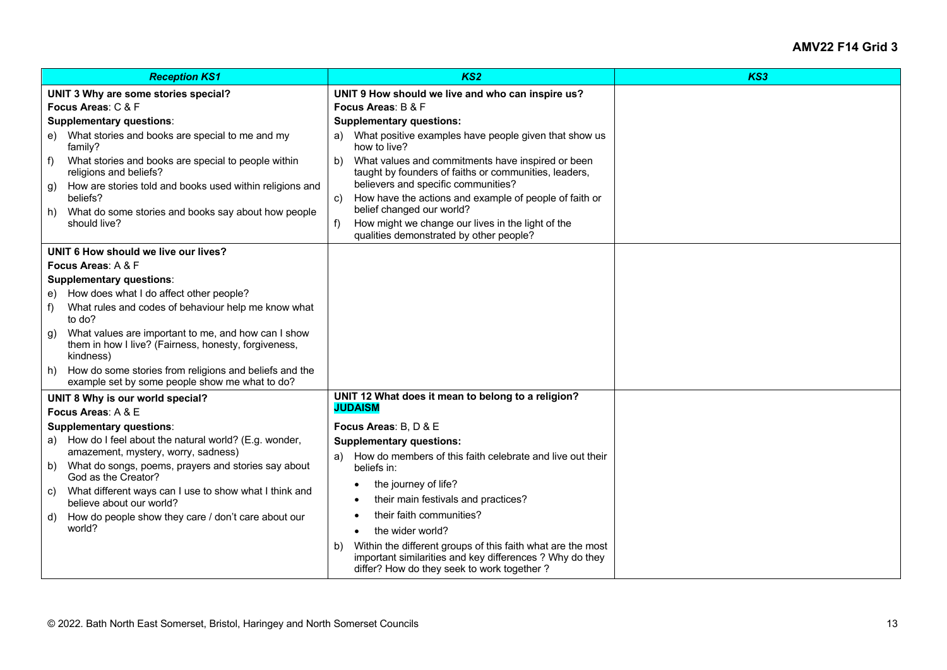|                                      | <b>Reception KS1</b>                                                                                                     | KS <sub>2</sub>                                                                                                                                                             | KS3 |
|--------------------------------------|--------------------------------------------------------------------------------------------------------------------------|-----------------------------------------------------------------------------------------------------------------------------------------------------------------------------|-----|
| UNIT 3 Why are some stories special? |                                                                                                                          | UNIT 9 How should we live and who can inspire us?                                                                                                                           |     |
| Focus Areas: C & F                   |                                                                                                                          | Focus Areas: B & F                                                                                                                                                          |     |
| <b>Supplementary questions:</b>      |                                                                                                                          | <b>Supplementary questions:</b>                                                                                                                                             |     |
|                                      | e) What stories and books are special to me and my<br>family?                                                            | a) What positive examples have people given that show us<br>how to live?                                                                                                    |     |
| f)                                   | What stories and books are special to people within<br>religions and beliefs?                                            | What values and commitments have inspired or been<br>b)<br>taught by founders of faiths or communities, leaders,<br>believers and specific communities?                     |     |
| g)                                   | How are stories told and books used within religions and<br>beliefs?                                                     | How have the actions and example of people of faith or<br>C)                                                                                                                |     |
| h)                                   | What do some stories and books say about how people<br>should live?                                                      | belief changed our world?<br>How might we change our lives in the light of the<br>f)                                                                                        |     |
|                                      |                                                                                                                          | qualities demonstrated by other people?                                                                                                                                     |     |
| UNIT 6 How should we live our lives? |                                                                                                                          |                                                                                                                                                                             |     |
| Focus Areas: A & F                   |                                                                                                                          |                                                                                                                                                                             |     |
|                                      | <b>Supplementary questions:</b>                                                                                          |                                                                                                                                                                             |     |
| e)                                   | How does what I do affect other people?                                                                                  |                                                                                                                                                                             |     |
| f)                                   | What rules and codes of behaviour help me know what<br>to do?                                                            |                                                                                                                                                                             |     |
| g)                                   | What values are important to me, and how can I show<br>them in how I live? (Fairness, honesty, forgiveness,<br>kindness) |                                                                                                                                                                             |     |
| h)                                   | How do some stories from religions and beliefs and the<br>example set by some people show me what to do?                 |                                                                                                                                                                             |     |
| UNIT 8 Why is our world special?     |                                                                                                                          | UNIT 12 What does it mean to belong to a religion?                                                                                                                          |     |
|                                      | Focus Areas: A & E                                                                                                       | <b>JUDAISM</b>                                                                                                                                                              |     |
|                                      | <b>Supplementary questions:</b>                                                                                          | Focus Areas: B. D & E                                                                                                                                                       |     |
|                                      | a) How do I feel about the natural world? (E.g. wonder,                                                                  | <b>Supplementary questions:</b>                                                                                                                                             |     |
|                                      | amazement, mystery, worry, sadness)                                                                                      | How do members of this faith celebrate and live out their<br>a)                                                                                                             |     |
| b)                                   | What do songs, poems, prayers and stories say about<br>God as the Creator?                                               | beliefs in:                                                                                                                                                                 |     |
|                                      | c) What different ways can I use to show what I think and                                                                | the journey of life?<br>$\bullet$                                                                                                                                           |     |
|                                      | believe about our world?                                                                                                 | their main festivals and practices?                                                                                                                                         |     |
| d)                                   | How do people show they care / don't care about our                                                                      | their faith communities?                                                                                                                                                    |     |
|                                      | world?                                                                                                                   | the wider world?<br>$\bullet$                                                                                                                                               |     |
|                                      |                                                                                                                          | Within the different groups of this faith what are the most<br>b)<br>important similarities and key differences ? Why do they<br>differ? How do they seek to work together? |     |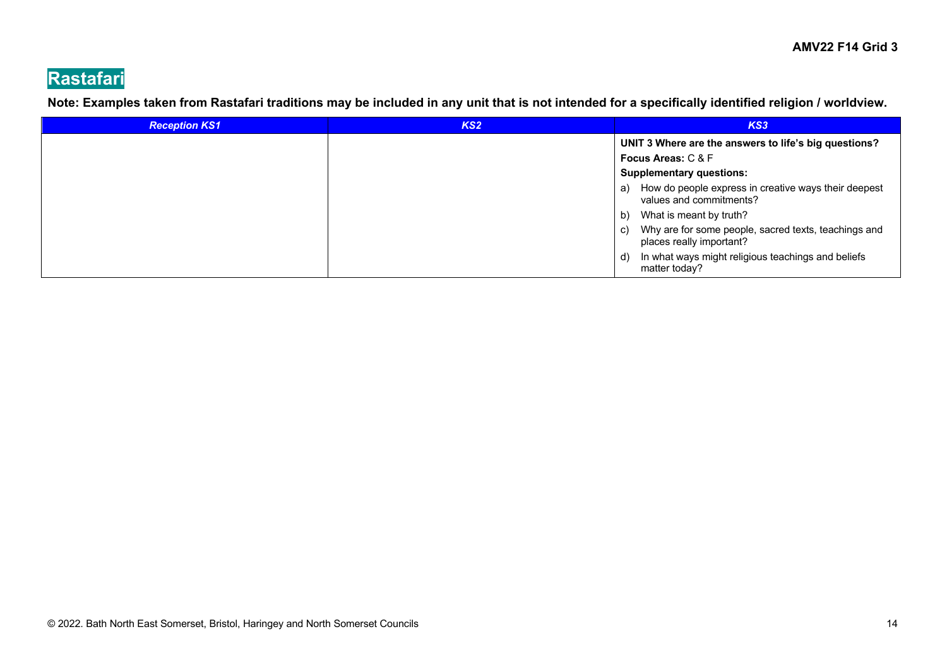# **Rastafari**

**Note: Examples taken from Rastafari traditions may be included in any unit that is not intended for a specifically identified religion / worldview.**

| <b>Reception KS1</b> | KS <sub>2</sub> | KS3                                                                                    |
|----------------------|-----------------|----------------------------------------------------------------------------------------|
|                      |                 | UNIT 3 Where are the answers to life's big questions?                                  |
|                      |                 | <b>Focus Areas: C &amp; F</b>                                                          |
|                      |                 | <b>Supplementary questions:</b>                                                        |
|                      |                 | How do people express in creative ways their deepest<br>a)<br>values and commitments?  |
|                      |                 | What is meant by truth?<br>b)                                                          |
|                      |                 | Why are for some people, sacred texts, teachings and<br>C)<br>places really important? |
|                      |                 | In what ways might religious teachings and beliefs<br>d)<br>matter today?              |